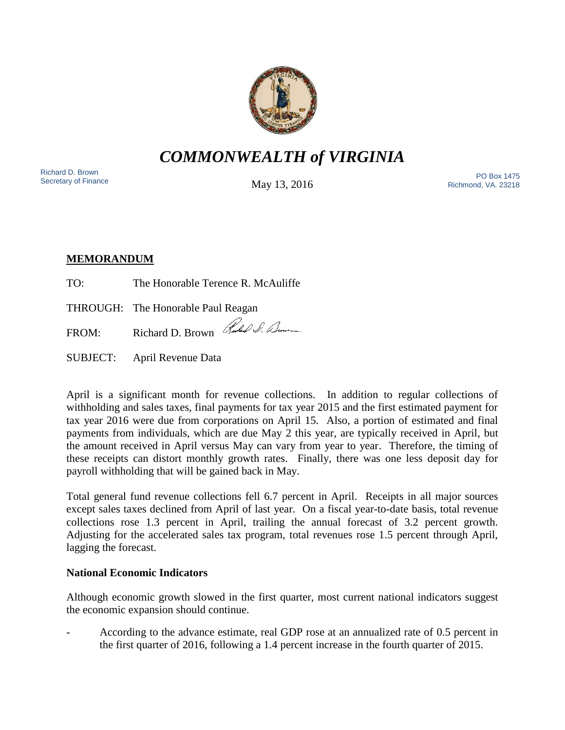

*COMMONWEALTH of VIRGINIA*

Richard D. Brown<br>Secretary of Finance

May 13, 2016

Secretary of Finance<br>Secretary of Finance **PO Box 1475**<br>Secretary of Finance **Property and Automobile Move 12**, 2016 Richmond, VA. 23218

# **MEMORANDUM**

TO: The Honorable Terence R. McAuliffe

THROUGH: The Honorable Paul Reagan

FROM: Richard D. Brown Rubble D. Lum

SUBJECT: April Revenue Data

April is a significant month for revenue collections. In addition to regular collections of withholding and sales taxes, final payments for tax year 2015 and the first estimated payment for tax year 2016 were due from corporations on April 15. Also, a portion of estimated and final payments from individuals, which are due May 2 this year, are typically received in April, but the amount received in April versus May can vary from year to year. Therefore, the timing of these receipts can distort monthly growth rates. Finally, there was one less deposit day for payroll withholding that will be gained back in May.

Total general fund revenue collections fell 6.7 percent in April. Receipts in all major sources except sales taxes declined from April of last year. On a fiscal year-to-date basis, total revenue collections rose 1.3 percent in April, trailing the annual forecast of 3.2 percent growth. Adjusting for the accelerated sales tax program, total revenues rose 1.5 percent through April, lagging the forecast.

## **National Economic Indicators**

Although economic growth slowed in the first quarter, most current national indicators suggest the economic expansion should continue.

- According to the advance estimate, real GDP rose at an annualized rate of 0.5 percent in the first quarter of 2016, following a 1.4 percent increase in the fourth quarter of 2015.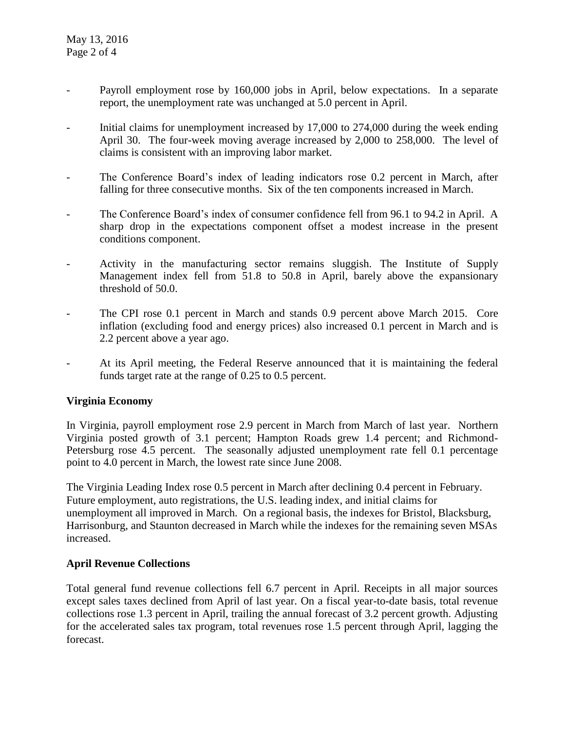- Payroll employment rose by 160,000 jobs in April, below expectations. In a separate report, the unemployment rate was unchanged at 5.0 percent in April.
- Initial claims for unemployment increased by 17,000 to 274,000 during the week ending April 30. The four-week moving average increased by 2,000 to 258,000. The level of claims is consistent with an improving labor market.
- The Conference Board's index of leading indicators rose 0.2 percent in March, after falling for three consecutive months. Six of the ten components increased in March.
- The Conference Board's index of consumer confidence fell from 96.1 to 94.2 in April. A sharp drop in the expectations component offset a modest increase in the present conditions component.
- Activity in the manufacturing sector remains sluggish. The Institute of Supply Management index fell from 51.8 to 50.8 in April, barely above the expansionary threshold of 50.0.
- The CPI rose 0.1 percent in March and stands 0.9 percent above March 2015. Core inflation (excluding food and energy prices) also increased 0.1 percent in March and is 2.2 percent above a year ago.
- At its April meeting, the Federal Reserve announced that it is maintaining the federal funds target rate at the range of 0.25 to 0.5 percent.

## **Virginia Economy**

In Virginia, payroll employment rose 2.9 percent in March from March of last year. Northern Virginia posted growth of 3.1 percent; Hampton Roads grew 1.4 percent; and Richmond-Petersburg rose 4.5 percent. The seasonally adjusted unemployment rate fell 0.1 percentage point to 4.0 percent in March, the lowest rate since June 2008.

The Virginia Leading Index rose 0.5 percent in March after declining 0.4 percent in February. Future employment, auto registrations, the U.S. leading index, and initial claims for unemployment all improved in March. On a regional basis, the indexes for Bristol, Blacksburg, Harrisonburg, and Staunton decreased in March while the indexes for the remaining seven MSAs increased.

### **April Revenue Collections**

Total general fund revenue collections fell 6.7 percent in April. Receipts in all major sources except sales taxes declined from April of last year. On a fiscal year-to-date basis, total revenue collections rose 1.3 percent in April, trailing the annual forecast of 3.2 percent growth. Adjusting for the accelerated sales tax program, total revenues rose 1.5 percent through April, lagging the forecast.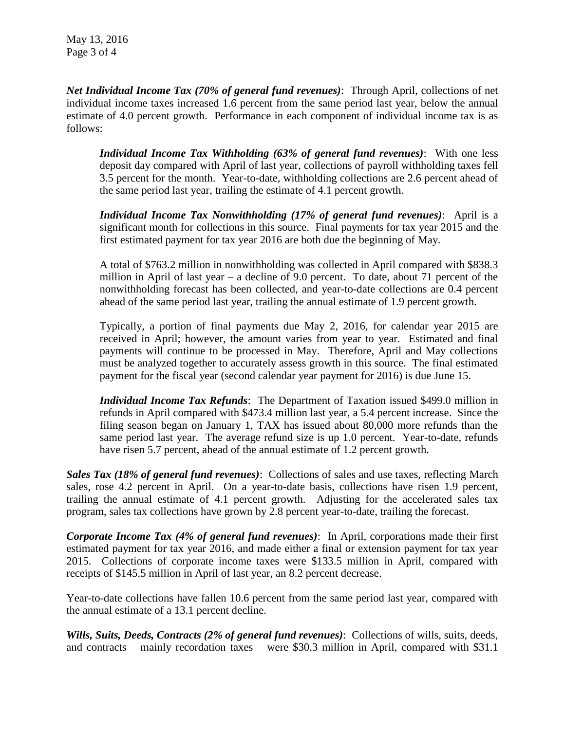*Net Individual Income Tax (70% of general fund revenues)*: Through April, collections of net individual income taxes increased 1.6 percent from the same period last year, below the annual estimate of 4.0 percent growth. Performance in each component of individual income tax is as follows:

*Individual Income Tax Withholding (63% of general fund revenues)*: With one less deposit day compared with April of last year, collections of payroll withholding taxes fell 3.5 percent for the month. Year-to-date, withholding collections are 2.6 percent ahead of the same period last year, trailing the estimate of 4.1 percent growth.

*Individual Income Tax Nonwithholding (17% of general fund revenues)*: April is a significant month for collections in this source. Final payments for tax year 2015 and the first estimated payment for tax year 2016 are both due the beginning of May.

A total of \$763.2 million in nonwithholding was collected in April compared with \$838.3 million in April of last year – a decline of 9.0 percent. To date, about 71 percent of the nonwithholding forecast has been collected, and year-to-date collections are 0.4 percent ahead of the same period last year, trailing the annual estimate of 1.9 percent growth.

Typically, a portion of final payments due May 2, 2016, for calendar year 2015 are received in April; however, the amount varies from year to year. Estimated and final payments will continue to be processed in May. Therefore, April and May collections must be analyzed together to accurately assess growth in this source. The final estimated payment for the fiscal year (second calendar year payment for 2016) is due June 15.

*Individual Income Tax Refunds*: The Department of Taxation issued \$499.0 million in refunds in April compared with \$473.4 million last year, a 5.4 percent increase. Since the filing season began on January 1, TAX has issued about 80,000 more refunds than the same period last year. The average refund size is up 1.0 percent. Year-to-date, refunds have risen 5.7 percent, ahead of the annual estimate of 1.2 percent growth.

*Sales Tax (18% of general fund revenues)*: Collections of sales and use taxes, reflecting March sales, rose 4.2 percent in April. On a year-to-date basis, collections have risen 1.9 percent, trailing the annual estimate of 4.1 percent growth. Adjusting for the accelerated sales tax program, sales tax collections have grown by 2.8 percent year-to-date, trailing the forecast.

*Corporate Income Tax (4% of general fund revenues)*: In April, corporations made their first estimated payment for tax year 2016, and made either a final or extension payment for tax year 2015. Collections of corporate income taxes were \$133.5 million in April, compared with receipts of \$145.5 million in April of last year, an 8.2 percent decrease.

Year-to-date collections have fallen 10.6 percent from the same period last year, compared with the annual estimate of a 13.1 percent decline.

*Wills, Suits, Deeds, Contracts (2% of general fund revenues)*: Collections of wills, suits, deeds, and contracts – mainly recordation taxes – were \$30.3 million in April, compared with \$31.1